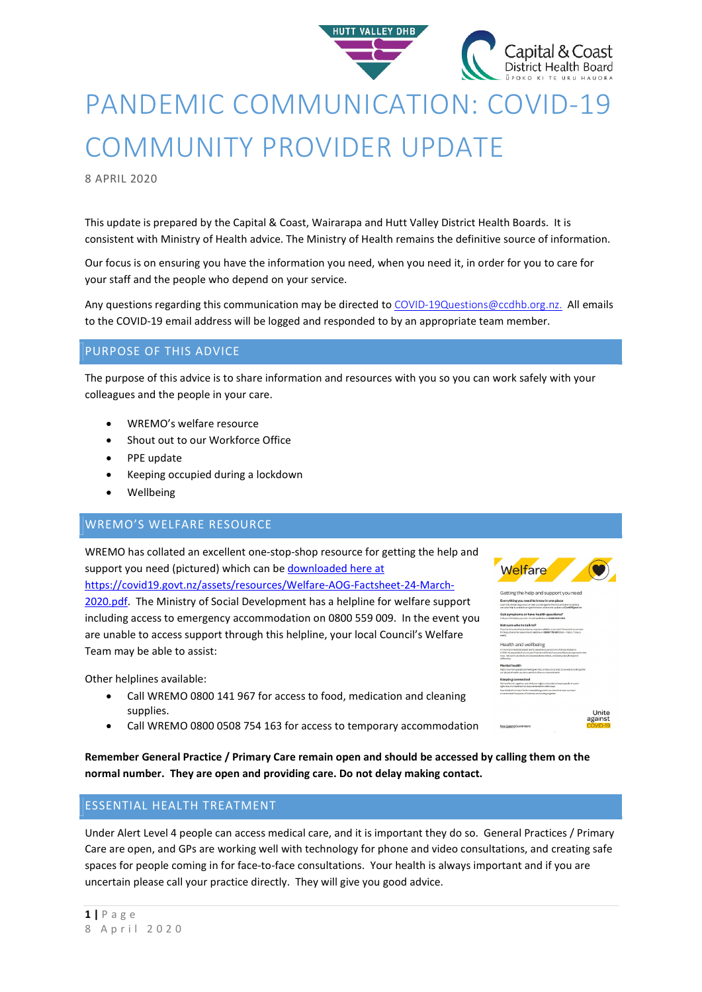

# PANDEMIC COMMUNICATION: COVID-19 COMMUNITY PROVIDER UPDATE

8 APRIL 2020

This update is prepared by the Capital & Coast, Wairarapa and Hutt Valley District Health Boards. It is consistent with Ministry of Health advice. The Ministry of Health remains the definitive source of information.

Our focus is on ensuring you have the information you need, when you need it, in order for you to care for your staff and the people who depend on your service.

Any questions regarding this communication may be directed to COVID-19Questions@ccdhb.org.nz. All emails to the COVID-19 email address will be logged and responded to by an appropriate team member.

## PURPOSE OF THIS ADVICE

The purpose of this advice is to share information and resources with you so you can work safely with your colleagues and the people in your care.

- WREMO's welfare resource
- Shout out to our Workforce Office
- PPE update
- Keeping occupied during a lockdown
- Wellbeing

## WREMO'S WELFARE RESOURCE

WREMO has collated an excellent one-stop-shop resource for getting the help and support you need (pictured) which can be downloaded here at https://covid19.govt.nz/assets/resources/Welfare-AOG-Factsheet-24-March-2020.pdf. The Ministry of Social Development has a helpline for welfare support including access to emergency accommodation on 0800 559 009. In the event you are unable to access support through this helpline, your local Council's Welfare Team may be able to assist:

Other helplines available:

- Call WREMO 0800 141 967 for access to food, medication and cleaning supplies.
- Call WREMO 0800 0508 754 163 for access to temporary accommodation

Remember General Practice / Primary Care remain open and should be accessed by calling them on the normal number. They are open and providing care. Do not delay making contact.

# ESSENTIAL HEALTH TREATMENT

Under Alert Level 4 people can access medical care, and it is important they do so. General Practices / Primary Care are open, and GPs are working well with technology for phone and video consultations, and creating safe spaces for people coming in for face-to-face consultations. Your health is always important and if you are uncertain please call your practice directly. They will give you good advice.

| <b>Welfare</b> |  |
|----------------|--|
|                |  |

| $\alpha$ . The contract of the contract of $\alpha$ is the contract of $\alpha$ in $\alpha$ in $\alpha$                                                                        |
|--------------------------------------------------------------------------------------------------------------------------------------------------------------------------------|
| Everything you need to know in one place                                                                                                                                       |
| Learn the simple steps you can take to unite pasinst the virus and dow its spread.<br>see what help is available and pet the late of advise a refuged test of Covid19 port not |
| Got symptoms or have health questions?                                                                                                                                         |
| Callygur GP before you yiet. Or call Health In e on 0 800 358 5453.                                                                                                            |
| Not sure who to talk to?                                                                                                                                                       |
| If you're not surewhat maistance may be available, or you don't know who to contact.                                                                                           |
| for help, phone the Government Helpline on 0800 779 997 (Barn - 10pm, 7 days a<br>week)                                                                                        |
| Health and wellbeing                                                                                                                                                           |
| It's normal to feel distressed and to experience amptoms of stress related to                                                                                                  |
| COVID-19, expedially if you ar your friends and family have possibly been exposed to the<br>virus. We are in uncertain and unprecedented times, and everyone will respond      |
| differently.                                                                                                                                                                   |
| <b>Mental health</b>                                                                                                                                                           |
| Right now many people are feeling womed, anyings or appred. So as well as looking after<br>our physical health we also need look after our mental health.                      |
|                                                                                                                                                                                |
| Keeping connected                                                                                                                                                              |
| We'reall in this trainther, and while we might not be able to be physically in touch<br>right now. If a important to atay connected in other ways.                             |
| New Zealand is known for its mana akkanga and now more than ever weneed<br>to remember the power of kindness and uniting together.                                             |
|                                                                                                                                                                                |
|                                                                                                                                                                                |
| Unite                                                                                                                                                                          |
|                                                                                                                                                                                |
| against                                                                                                                                                                        |
|                                                                                                                                                                                |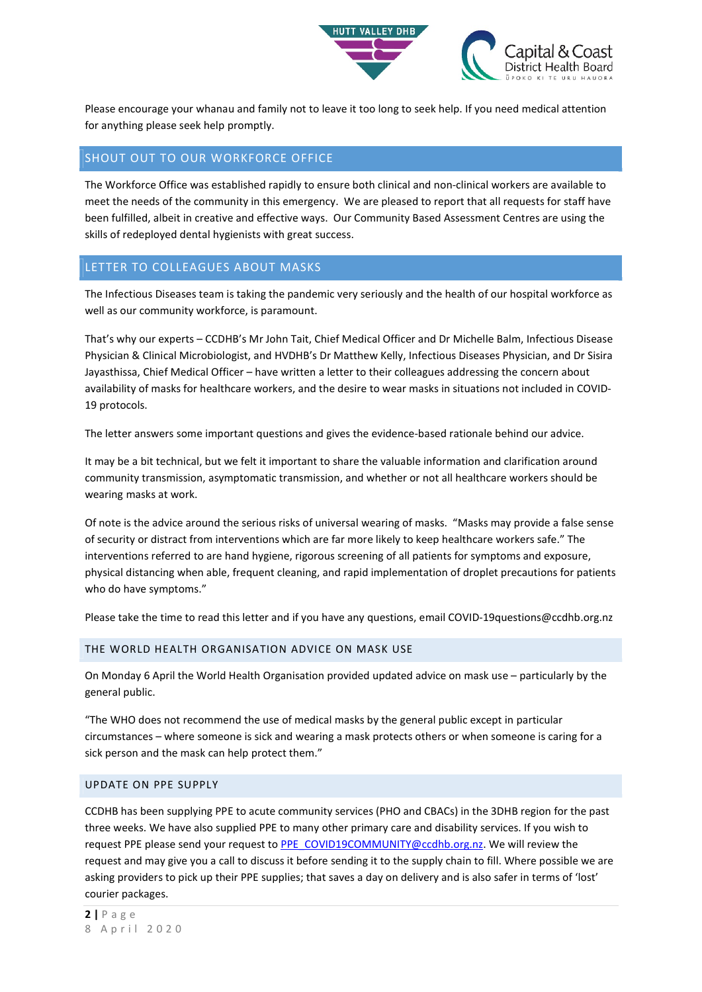

Please encourage your whanau and family not to leave it too long to seek help. If you need medical attention for anything please seek help promptly.

## SHOUT OUT TO OUR WORKFORCE OFFICE

The Workforce Office was established rapidly to ensure both clinical and non-clinical workers are available to meet the needs of the community in this emergency. We are pleased to report that all requests for staff have been fulfilled, albeit in creative and effective ways. Our Community Based Assessment Centres are using the skills of redeployed dental hygienists with great success.

#### LETTER TO COLLEAGUES ABOUT MASKS

The Infectious Diseases team is taking the pandemic very seriously and the health of our hospital workforce as well as our community workforce, is paramount.

That's why our experts – CCDHB's Mr John Tait, Chief Medical Officer and Dr Michelle Balm, Infectious Disease Physician & Clinical Microbiologist, and HVDHB's Dr Matthew Kelly, Infectious Diseases Physician, and Dr Sisira Jayasthissa, Chief Medical Officer – have written a letter to their colleagues addressing the concern about availability of masks for healthcare workers, and the desire to wear masks in situations not included in COVID-19 protocols.

The letter answers some important questions and gives the evidence-based rationale behind our advice.

It may be a bit technical, but we felt it important to share the valuable information and clarification around community transmission, asymptomatic transmission, and whether or not all healthcare workers should be wearing masks at work.

Of note is the advice around the serious risks of universal wearing of masks. "Masks may provide a false sense of security or distract from interventions which are far more likely to keep healthcare workers safe." The interventions referred to are hand hygiene, rigorous screening of all patients for symptoms and exposure, physical distancing when able, frequent cleaning, and rapid implementation of droplet precautions for patients who do have symptoms."

Please take the time to read this letter and if you have any questions, email COVID-19questions@ccdhb.org.nz

#### THE WORLD HEALTH ORGANISATION ADVICE ON MASK USE

On Monday 6 April the World Health Organisation provided updated advice on mask use – particularly by the general public.

"The WHO does not recommend the use of medical masks by the general public except in particular circumstances – where someone is sick and wearing a mask protects others or when someone is caring for a sick person and the mask can help protect them."

#### UPDATE ON PPE SUPPLY

CCDHB has been supplying PPE to acute community services (PHO and CBACs) in the 3DHB region for the past three weeks. We have also supplied PPE to many other primary care and disability services. If you wish to request PPE please send your request to PPE\_COVID19COMMUNITY@ccdhb.org.nz. We will review the request and may give you a call to discuss it before sending it to the supply chain to fill. Where possible we are asking providers to pick up their PPE supplies; that saves a day on delivery and is also safer in terms of 'lost' courier packages.